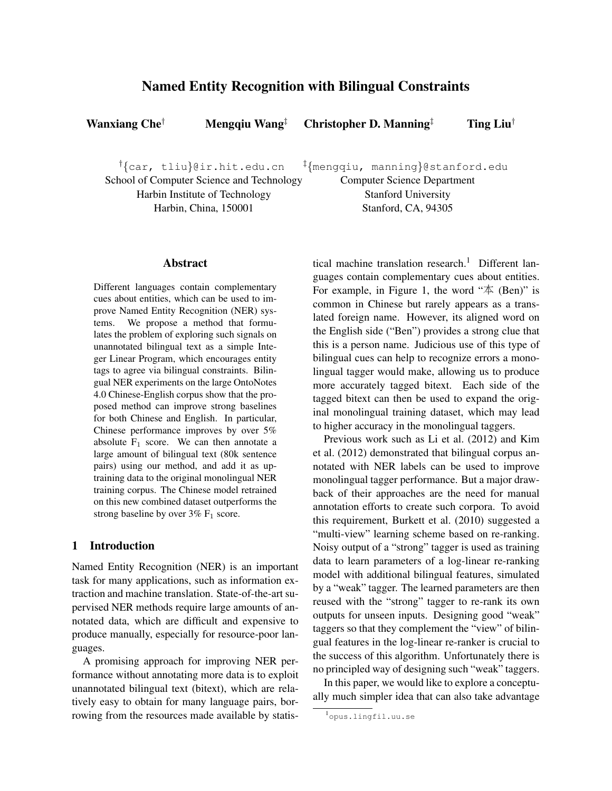# Named Entity Recognition with Bilingual Constraints

Wanxiang Che<sup>†</sup> Mengqiu Wang<sup>‡</sup> Christopher D. Manning<sup>‡</sup> Ting Liu<sup>†</sup>

†{car, tliu}@ir.hit.edu.cn School of Computer Science and Technology Harbin Institute of Technology Harbin, China, 150001 ‡{mengqiu, manning}@stanford.edu

Computer Science Department

Stanford University Stanford, CA, 94305

# Abstract

Different languages contain complementary cues about entities, which can be used to improve Named Entity Recognition (NER) systems. We propose a method that formulates the problem of exploring such signals on unannotated bilingual text as a simple Integer Linear Program, which encourages entity tags to agree via bilingual constraints. Bilingual NER experiments on the large OntoNotes 4.0 Chinese-English corpus show that the proposed method can improve strong baselines for both Chinese and English. In particular, Chinese performance improves by over 5% absolute  $F_1$  score. We can then annotate a large amount of bilingual text (80k sentence pairs) using our method, and add it as uptraining data to the original monolingual NER training corpus. The Chinese model retrained on this new combined dataset outperforms the strong baseline by over  $3\%$  F<sub>1</sub> score.

# 1 Introduction

Named Entity Recognition (NER) is an important task for many applications, such as information extraction and machine translation. State-of-the-art supervised NER methods require large amounts of annotated data, which are difficult and expensive to produce manually, especially for resource-poor languages.

A promising approach for improving NER performance without annotating more data is to exploit unannotated bilingual text (bitext), which are relatively easy to obtain for many language pairs, borrowing from the resources made available by statistical machine translation research.<sup>1</sup> Different languages contain complementary cues about entities. For example, in Figure 1, the word " $\bar{A}$  (Ben)" is common in Chinese but rarely appears as a translated foreign name. However, its aligned word on the English side ("Ben") provides a strong clue that this is a person name. Judicious use of this type of bilingual cues can help to recognize errors a monolingual tagger would make, allowing us to produce more accurately tagged bitext. Each side of the tagged bitext can then be used to expand the original monolingual training dataset, which may lead to higher accuracy in the monolingual taggers.

Previous work such as Li et al. (2012) and Kim et al. (2012) demonstrated that bilingual corpus annotated with NER labels can be used to improve monolingual tagger performance. But a major drawback of their approaches are the need for manual annotation efforts to create such corpora. To avoid this requirement, Burkett et al. (2010) suggested a "multi-view" learning scheme based on re-ranking. Noisy output of a "strong" tagger is used as training data to learn parameters of a log-linear re-ranking model with additional bilingual features, simulated by a "weak" tagger. The learned parameters are then reused with the "strong" tagger to re-rank its own outputs for unseen inputs. Designing good "weak" taggers so that they complement the "view" of bilingual features in the log-linear re-ranker is crucial to the success of this algorithm. Unfortunately there is no principled way of designing such "weak" taggers.

In this paper, we would like to explore a conceptually much simpler idea that can also take advantage

<sup>1</sup> opus.lingfil.uu.se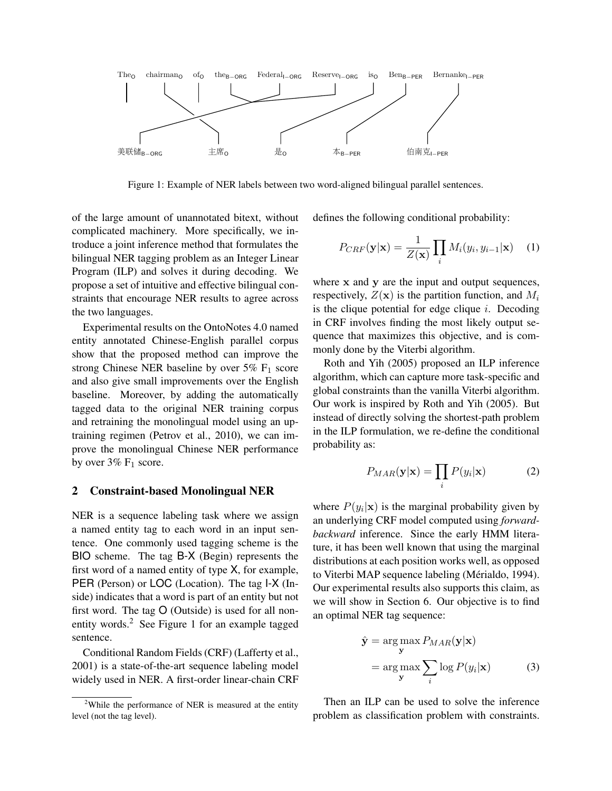

Figure 1: Example of NER labels between two word-aligned bilingual parallel sentences.

of the large amount of unannotated bitext, without complicated machinery. More specifically, we introduce a joint inference method that formulates the bilingual NER tagging problem as an Integer Linear Program (ILP) and solves it during decoding. We propose a set of intuitive and effective bilingual constraints that encourage NER results to agree across the two languages.

Experimental results on the OntoNotes 4.0 named entity annotated Chinese-English parallel corpus show that the proposed method can improve the strong Chinese NER baseline by over  $5\%$  F<sub>1</sub> score and also give small improvements over the English baseline. Moreover, by adding the automatically tagged data to the original NER training corpus and retraining the monolingual model using an uptraining regimen (Petrov et al., 2010), we can improve the monolingual Chinese NER performance by over  $3\%$  F<sub>1</sub> score.

### 2 Constraint-based Monolingual NER

NER is a sequence labeling task where we assign a named entity tag to each word in an input sentence. One commonly used tagging scheme is the BIO scheme. The tag B-X (Begin) represents the first word of a named entity of type X, for example, PER (Person) or LOC (Location). The tag  $I-X$  (Inside) indicates that a word is part of an entity but not first word. The tag O (Outside) is used for all nonentity words.<sup>2</sup> See Figure 1 for an example tagged sentence.

Conditional Random Fields (CRF) (Lafferty et al., 2001) is a state-of-the-art sequence labeling model widely used in NER. A first-order linear-chain CRF defines the following conditional probability:

$$
P_{CRF}(\mathbf{y}|\mathbf{x}) = \frac{1}{Z(\mathbf{x})} \prod_{i} M_i(y_i, y_{i-1}|\mathbf{x}) \quad (1)
$$

where x and y are the input and output sequences, respectively,  $Z(\mathbf{x})$  is the partition function, and  $M_i$ is the clique potential for edge clique  $i$ . Decoding in CRF involves finding the most likely output sequence that maximizes this objective, and is commonly done by the Viterbi algorithm.

Roth and Yih (2005) proposed an ILP inference algorithm, which can capture more task-specific and global constraints than the vanilla Viterbi algorithm. Our work is inspired by Roth and Yih (2005). But instead of directly solving the shortest-path problem in the ILP formulation, we re-define the conditional probability as:

$$
P_{MAR}(\mathbf{y}|\mathbf{x}) = \prod_i P(y_i|\mathbf{x})
$$
 (2)

where  $P(y_i|\mathbf{x})$  is the marginal probability given by an underlying CRF model computed using *forwardbackward* inference. Since the early HMM literature, it has been well known that using the marginal distributions at each position works well, as opposed to Viterbi MAP sequence labeling (Mérialdo, 1994). Our experimental results also supports this claim, as we will show in Section 6. Our objective is to find an optimal NER tag sequence:

$$
\hat{\mathbf{y}} = \underset{\mathbf{y}}{\arg \max} P_{MAR}(\mathbf{y}|\mathbf{x})
$$
\n
$$
= \underset{\mathbf{y}}{\arg \max} \sum_{i} \log P(y_i|\mathbf{x}) \tag{3}
$$

Then an ILP can be used to solve the inference problem as classification problem with constraints.

<sup>&</sup>lt;sup>2</sup>While the performance of NER is measured at the entity level (not the tag level).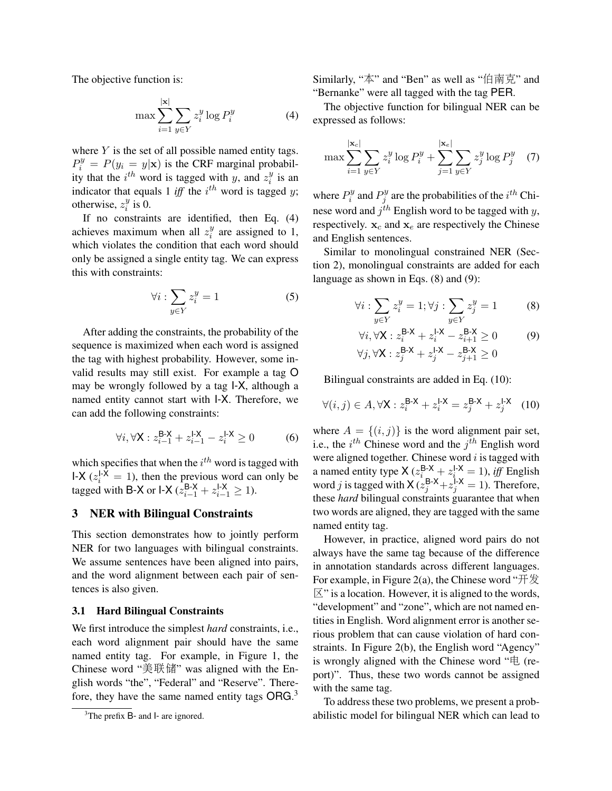The objective function is:

$$
\max \sum_{i=1}^{|\mathbf{x}|} \sum_{y \in Y} z_i^y \log P_i^y \tag{4}
$$

where  $Y$  is the set of all possible named entity tags.  $P_i^y = P(y_i = y | \mathbf{x})$  is the CRF marginal probability that the  $i^{th}$  word is tagged with y, and  $z_i^y$  $\frac{y}{i}$  is an indicator that equals 1 *iff* the  $i^{th}$  word is tagged y; otherwise,  $z_i^y$  $\frac{y}{i}$  is 0.

If no constraints are identified, then Eq. (4) achieves maximum when all  $z_i^y$  $i$ <sup>y</sup> are assigned to 1, which violates the condition that each word should only be assigned a single entity tag. We can express this with constraints:

$$
\forall i: \sum_{y \in Y} z_i^y = 1 \tag{5}
$$

After adding the constraints, the probability of the sequence is maximized when each word is assigned the tag with highest probability. However, some invalid results may still exist. For example a tag O may be wrongly followed by a tag I-X, although a named entity cannot start with I-X. Therefore, we can add the following constraints:

$$
\forall i, \forall \mathbf{X} : z_{i-1}^{\mathbf{B} \cdot \mathbf{X}} + z_{i-1}^{l \cdot \mathbf{X}} - z_i^{l \cdot \mathbf{X}} \ge 0 \tag{6}
$$

which specifies that when the  $i^{th}$  word is tagged with I-X  $(z_i^{1-X} = 1)$ , then the previous word can only be tagged with B-X or I-X ( $z_{i-1}^{\text{B-X}} + z_{i-1}^{\text{I-X}} \ge 1$ ).

#### 3 NER with Bilingual Constraints

This section demonstrates how to jointly perform NER for two languages with bilingual constraints. We assume sentences have been aligned into pairs, and the word alignment between each pair of sentences is also given.

#### 3.1 Hard Bilingual Constraints

We first introduce the simplest *hard* constraints, i.e., each word alignment pair should have the same named entity tag. For example, in Figure 1, the Chinese word "美联储" was aligned with the English words "the", "Federal" and "Reserve". Therefore, they have the same named entity tags  $\textsf{ORG}.^3$ 

Similarly, "本" and "Ben" as well as "伯南克" and "Bernanke" were all tagged with the tag PER.

The objective function for bilingual NER can be expressed as follows:

$$
\max \sum_{i=1}^{|\mathbf{x}_c|} \sum_{y \in Y} z_i^y \log P_i^y + \sum_{j=1}^{|\mathbf{x}_e|} \sum_{y \in Y} z_j^y \log P_j^y \quad (7)
$$

where  $P_i^y$  $P_j^y$  and  $P_j^y$  $j^{y}_{j}$  are the probabilities of the  $i^{th}$  Chinese word and  $j^{th}$  English word to be tagged with y, respectively.  $x_c$  and  $x_e$  are respectively the Chinese and English sentences.

Similar to monolingual constrained NER (Section 2), monolingual constraints are added for each language as shown in Eqs. (8) and (9):

$$
\forall i: \sum_{y \in Y} z_i^y = 1; \forall j: \sum_{y \in Y} z_j^y = 1 \tag{8}
$$

$$
\forall i, \forall \mathbf{X} : z_i^{\mathbf{B} \cdot \mathbf{X}} + z_i^{1 \cdot \mathbf{X}} - z_{i+1}^{\mathbf{B} \cdot \mathbf{X}} \ge 0 \tag{9}
$$
  

$$
\forall j, \forall \mathbf{X} : z_j^{\mathbf{B} \cdot \mathbf{X}} + z_j^{1 \cdot \mathbf{X}} - z_{j+1}^{\mathbf{B} \cdot \mathbf{X}} \ge 0
$$

Bilingual constraints are added in Eq. (10):

$$
\forall (i,j) \in A, \forall \mathsf{X} : z_i^{\mathsf{B}\text{-}\mathsf{X}} + z_i^{\mathsf{I}\text{-}\mathsf{X}} = z_j^{\mathsf{B}\text{-}\mathsf{X}} + z_j^{\mathsf{I}\text{-}\mathsf{X}} \tag{10}
$$

where  $A = \{(i, j)\}\$ is the word alignment pair set, i.e., the  $i^{th}$  Chinese word and the  $j^{th}$  English word were aligned together. Chinese word  $i$  is tagged with a named entity type  $X(z_i^{B-X} + z_i^{I-X} = 1)$ , *iff* English word j is tagged with  $X(z_j^{B-X}+z_j^{I-X}=1)$ . Therefore, these *hard* bilingual constraints guarantee that when two words are aligned, they are tagged with the same named entity tag.

However, in practice, aligned word pairs do not always have the same tag because of the difference in annotation standards across different languages. For example, in Figure 2(a), the Chinese word " $\#\$  $\mathbb{X}^n$  is a location. However, it is aligned to the words, "development" and "zone", which are not named entities in English. Word alignment error is another serious problem that can cause violation of hard constraints. In Figure 2(b), the English word "Agency" is wrongly aligned with the Chinese word "电 (report)". Thus, these two words cannot be assigned with the same tag.

To address these two problems, we present a probabilistic model for bilingual NER which can lead to

<sup>&</sup>lt;sup>3</sup>The prefix B- and l- are ignored.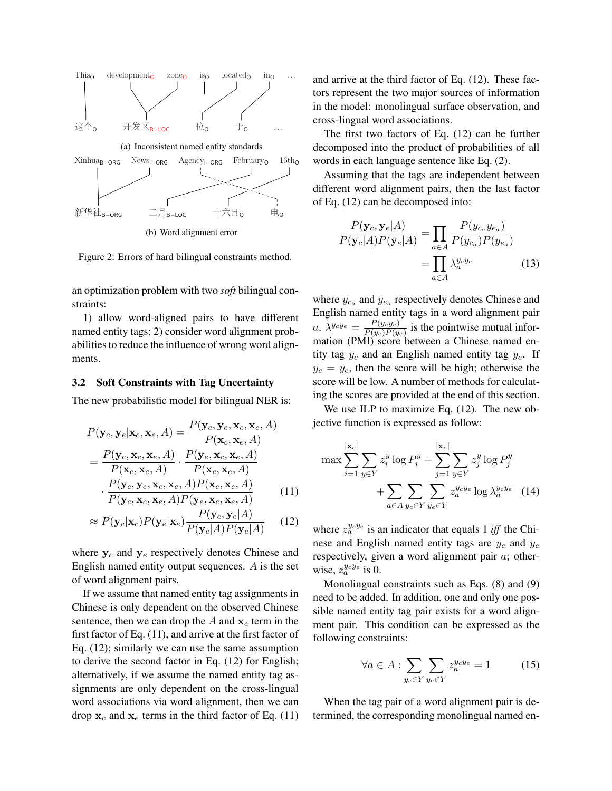

Figure 2: Errors of hard bilingual constraints method.

an optimization problem with two *soft* bilingual constraints:

1) allow word-aligned pairs to have different named entity tags; 2) consider word alignment probabilities to reduce the influence of wrong word alignments.

#### 3.2 Soft Constraints with Tag Uncertainty

The new probabilistic model for bilingual NER is:

$$
P(\mathbf{y}_c, \mathbf{y}_e | \mathbf{x}_c, \mathbf{x}_e, A) = \frac{P(\mathbf{y}_c, \mathbf{y}_e, \mathbf{x}_c, \mathbf{x}_e, A)}{P(\mathbf{x}_c, \mathbf{x}_e, A)}
$$
  
=  $\frac{P(\mathbf{y}_c, \mathbf{x}_c, \mathbf{x}_e, A)}{P(\mathbf{x}_c, \mathbf{x}_e, A)} \cdot \frac{P(\mathbf{y}_e, \mathbf{x}_c, \mathbf{x}_e, A)}{P(\mathbf{x}_c, \mathbf{x}_e, A)}$   

$$
\cdot \frac{P(\mathbf{y}_c, \mathbf{y}_e, \mathbf{x}_c, \mathbf{x}_e, A) P(\mathbf{x}_c, \mathbf{x}_e, A)}{P(\mathbf{y}_c, \mathbf{x}_c, \mathbf{x}_e, A) P(\mathbf{y}_e, \mathbf{x}_c, \mathbf{x}_e, A)}
$$
(11)

$$
\approx P(\mathbf{y}_c|\mathbf{x}_c)P(\mathbf{y}_e|\mathbf{x}_e)\frac{P(\mathbf{y}_c,\mathbf{y}_e|A)}{P(\mathbf{y}_c|A)P(\mathbf{y}_e|A)}\tag{12}
$$

where  $y_c$  and  $y_e$  respectively denotes Chinese and English named entity output sequences. A is the set of word alignment pairs.

If we assume that named entity tag assignments in Chinese is only dependent on the observed Chinese sentence, then we can drop the  $A$  and  $x_e$  term in the first factor of Eq. (11), and arrive at the first factor of Eq. (12); similarly we can use the same assumption to derive the second factor in Eq. (12) for English; alternatively, if we assume the named entity tag assignments are only dependent on the cross-lingual word associations via word alignment, then we can drop  $x_c$  and  $x_e$  terms in the third factor of Eq. (11) and arrive at the third factor of Eq. (12). These factors represent the two major sources of information in the model: monolingual surface observation, and cross-lingual word associations.

The first two factors of Eq. (12) can be further decomposed into the product of probabilities of all words in each language sentence like Eq. (2).

Assuming that the tags are independent between different word alignment pairs, then the last factor of Eq. (12) can be decomposed into:

$$
\frac{P(\mathbf{y}_c, \mathbf{y}_e | A)}{P(\mathbf{y}_c | A)P(\mathbf{y}_e | A)} = \prod_{a \in A} \frac{P(y_{c_a} y_{e_a})}{P(y_{c_a})P(y_{e_a})}
$$
\n
$$
= \prod_{a \in A} \lambda_a^{y_c y_e} \tag{13}
$$

where  $y_{c_a}$  and  $y_{e_a}$  respectively denotes Chinese and English named entity tags in a word alignment pair a.  $\lambda^{y_c y_e} = \frac{P(y_c y_e)}{P(y_e) P(y_e)}$  $\frac{P(y_c y_e)}{P(y_c)P(y_e)}$  is the pointwise mutual information (PMI) score between a Chinese named entity tag  $y_c$  and an English named entity tag  $y_e$ . If  $y_c = y_e$ , then the score will be high; otherwise the score will be low. A number of methods for calculating the scores are provided at the end of this section.

We use ILP to maximize Eq. (12). The new objective function is expressed as follow:

$$
\max \sum_{i=1}^{|\mathbf{x}_c|} \sum_{y \in Y} z_i^y \log P_i^y + \sum_{j=1}^{|\mathbf{x}_e|} \sum_{y \in Y} z_j^y \log P_j^y
$$

$$
+ \sum_{a \in A} \sum_{y_c \in Y} \sum_{y_e \in Y} z_a^{y_c y_e} \log \lambda_a^{y_c y_e} \quad (14)
$$

where  $z_a^{y_c y_e}$  is an indicator that equals 1 *iff* the Chinese and English named entity tags are  $y_c$  and  $y_e$ respectively, given a word alignment pair  $a$ ; otherwise,  $z_a^{y_c y_e}$  is 0.

Monolingual constraints such as Eqs. (8) and (9) need to be added. In addition, one and only one possible named entity tag pair exists for a word alignment pair. This condition can be expressed as the following constraints:

$$
\forall a \in A : \sum_{y_c \in Y} \sum_{y_e \in Y} z_a^{y_c y_e} = 1 \tag{15}
$$

When the tag pair of a word alignment pair is determined, the corresponding monolingual named en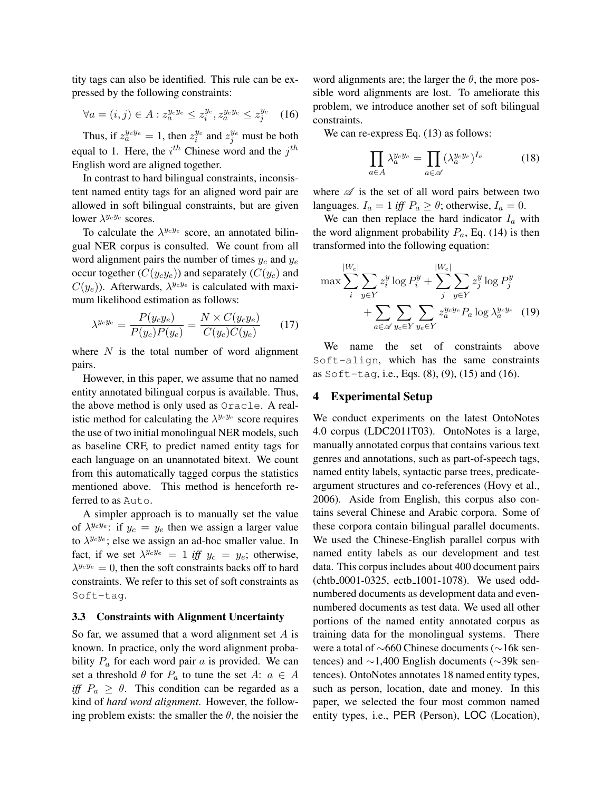tity tags can also be identified. This rule can be expressed by the following constraints:

$$
\forall a = (i, j) \in A : z_a^{y_c y_e} \le z_i^{y_c}, z_a^{y_c y_e} \le z_j^{y_e} \quad (16)
$$

Thus, if  $z_a^{y_c y_e} = 1$ , then  $z_i^{y_c}$  $i^{y_c}$  and  $z_j^{y_e}$  must be both equal to 1. Here, the  $i^{th}$  Chinese word and the  $j^{th}$ English word are aligned together.

In contrast to hard bilingual constraints, inconsistent named entity tags for an aligned word pair are allowed in soft bilingual constraints, but are given lower  $\lambda^{y_c y_e}$  scores.

To calculate the  $\lambda^{y_c y_e}$  score, an annotated bilingual NER corpus is consulted. We count from all word alignment pairs the number of times  $y_c$  and  $y_e$ occur together  $(C(y_c y_e))$  and separately  $(C(y_c))$  and  $C(y_e)$ ). Afterwards,  $\lambda^{y_c y_e}$  is calculated with maximum likelihood estimation as follows:

$$
\lambda^{y_c y_e} = \frac{P(y_c y_e)}{P(y_c)P(y_e)} = \frac{N \times C(y_c y_e)}{C(y_c)C(y_e)}\tag{17}
$$

where  $N$  is the total number of word alignment pairs.

However, in this paper, we assume that no named entity annotated bilingual corpus is available. Thus, the above method is only used as Oracle. A realistic method for calculating the  $\lambda^{y_c y_e}$  score requires the use of two initial monolingual NER models, such as baseline CRF, to predict named entity tags for each language on an unannotated bitext. We count from this automatically tagged corpus the statistics mentioned above. This method is henceforth referred to as Auto.

A simpler approach is to manually set the value of  $\lambda^{y_c y_e}$ : if  $y_c = y_e$  then we assign a larger value to  $\lambda^{y_c y_e}$ ; else we assign an ad-hoc smaller value. In fact, if we set  $\lambda^{y_c y_e} = 1$  *iff*  $y_c = y_e$ ; otherwise,  $\lambda^{y_c y_e} = 0$ , then the soft constraints backs off to hard constraints. We refer to this set of soft constraints as Soft-tag.

#### 3.3 Constraints with Alignment Uncertainty

So far, we assumed that a word alignment set A is known. In practice, only the word alignment probability  $P_a$  for each word pair  $a$  is provided. We can set a threshold  $\theta$  for  $P_a$  to tune the set  $A: a \in A$ *iff*  $P_a \geq \theta$ . This condition can be regarded as a kind of *hard word alignment*. However, the following problem exists: the smaller the  $\theta$ , the noisier the word alignments are; the larger the  $\theta$ , the more possible word alignments are lost. To ameliorate this problem, we introduce another set of soft bilingual constraints.

We can re-express Eq.  $(13)$  as follows:

$$
\prod_{a \in A} \lambda_a^{y_c y_e} = \prod_{a \in \mathscr{A}} (\lambda_a^{y_c y_e})^{I_a} \tag{18}
$$

where  $\mathscr A$  is the set of all word pairs between two languages.  $I_a = 1$  *iff*  $P_a \ge \theta$ ; otherwise,  $I_a = 0$ .

We can then replace the hard indicator  $I_a$  with the word alignment probability  $P_a$ , Eq. (14) is then transformed into the following equation:

$$
\max \sum_{i}^{|W_c|} \sum_{y \in Y} z_i^y \log P_i^y + \sum_{j}^{|W_e|} \sum_{y \in Y} z_j^y \log P_j^y
$$

$$
+ \sum_{a \in \mathcal{A}} \sum_{y_c \in Y} \sum_{y_e \in Y} z_a^{y_c y_e} P_a \log \lambda_a^{y_c y_e} \quad (19)
$$

We name the set of constraints above Soft-align, which has the same constraints as Soft-tag, i.e., Eqs. (8), (9), (15) and (16).

# 4 Experimental Setup

We conduct experiments on the latest OntoNotes 4.0 corpus (LDC2011T03). OntoNotes is a large, manually annotated corpus that contains various text genres and annotations, such as part-of-speech tags, named entity labels, syntactic parse trees, predicateargument structures and co-references (Hovy et al., 2006). Aside from English, this corpus also contains several Chinese and Arabic corpora. Some of these corpora contain bilingual parallel documents. We used the Chinese-English parallel corpus with named entity labels as our development and test data. This corpus includes about 400 document pairs (chtb 0001-0325, ectb 1001-1078). We used oddnumbered documents as development data and evennumbered documents as test data. We used all other portions of the named entity annotated corpus as training data for the monolingual systems. There were a total of ∼660 Chinese documents (∼16k sentences) and ∼1,400 English documents (∼39k sentences). OntoNotes annotates 18 named entity types, such as person, location, date and money. In this paper, we selected the four most common named entity types, i.e., PER (Person), LOC (Location),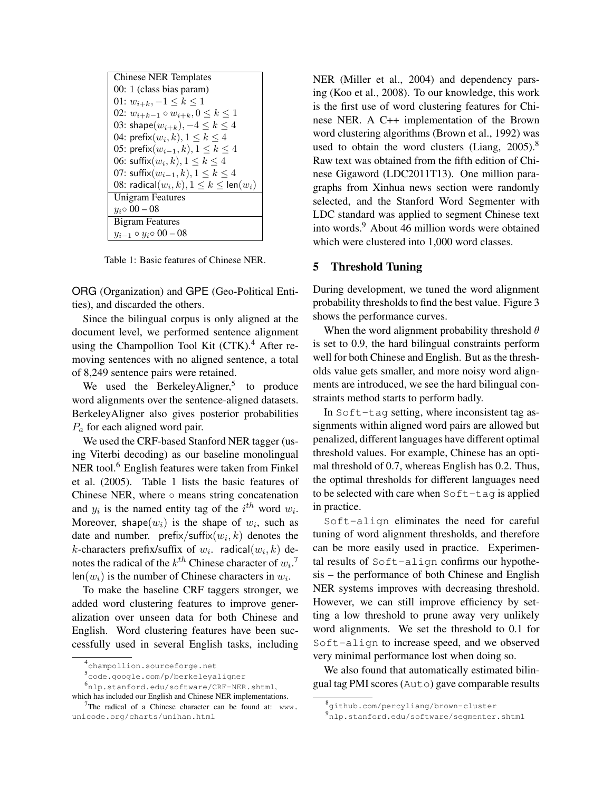| <b>Chinese NER Templates</b>                          |  |  |  |  |
|-------------------------------------------------------|--|--|--|--|
| 00: 1 (class bias param)                              |  |  |  |  |
| 01: $w_{i+k}$ , $-1 \leq k \leq 1$                    |  |  |  |  |
| 02: $w_{i+k-1} \circ w_{i+k}, 0 \leq k \leq 1$        |  |  |  |  |
| 03: shape $(w_{i+k}), -4 \leq k \leq 4$               |  |  |  |  |
| 04: prefix $(w_i, k)$ , $1 \leq k \leq 4$             |  |  |  |  |
| 05: prefix $(w_{i-1}, k)$ , $1 \le k \le 4$           |  |  |  |  |
| 06: suffix $(w_i, k)$ , $1 \leq k \leq 4$             |  |  |  |  |
| 07: suffix $(w_{i-1}, k)$ , $1 \leq k \leq 4$         |  |  |  |  |
| 08: radical $(w_i, k), 1 \leq k \leq \text{len}(w_i)$ |  |  |  |  |
| <b>Unigram Features</b>                               |  |  |  |  |
| $y_i \circ 00 - 08$                                   |  |  |  |  |
| <b>Bigram Features</b>                                |  |  |  |  |
| $y_{i-1} \circ y_i \circ 00 - 08$                     |  |  |  |  |

Table 1: Basic features of Chinese NER.

ORG (Organization) and GPE (Geo-Political Entities), and discarded the others.

Since the bilingual corpus is only aligned at the document level, we performed sentence alignment using the Champollion Tool Kit  $(CTK)<sup>4</sup>$  After removing sentences with no aligned sentence, a total of 8,249 sentence pairs were retained.

We used the BerkeleyAligner,<sup>5</sup> to produce word alignments over the sentence-aligned datasets. BerkeleyAligner also gives posterior probabilities  $P_a$  for each aligned word pair.

We used the CRF-based Stanford NER tagger (using Viterbi decoding) as our baseline monolingual NER tool.<sup>6</sup> English features were taken from Finkel et al. (2005). Table 1 lists the basic features of Chinese NER, where  $\circ$  means string concatenation and  $y_i$  is the named entity tag of the  $i^{th}$  word  $w_i$ . Moreover, shape $(w_i)$  is the shape of  $w_i$ , such as date and number. prefix/suffix $(w_i, k)$  denotes the k-characters prefix/suffix of  $w_i$ . radical $(w_i, k)$  denotes the radical of the  $k^{th}$  Chinese character of  $w_i$ .<sup>7</sup> len( $w_i$ ) is the number of Chinese characters in  $w_i$ .

To make the baseline CRF taggers stronger, we added word clustering features to improve generalization over unseen data for both Chinese and English. Word clustering features have been successfully used in several English tasks, including NER (Miller et al., 2004) and dependency parsing (Koo et al., 2008). To our knowledge, this work is the first use of word clustering features for Chinese NER. A C++ implementation of the Brown word clustering algorithms (Brown et al., 1992) was used to obtain the word clusters (Liang,  $2005$ ).<sup>8</sup> Raw text was obtained from the fifth edition of Chinese Gigaword (LDC2011T13). One million paragraphs from Xinhua news section were randomly selected, and the Stanford Word Segmenter with LDC standard was applied to segment Chinese text into words.<sup>9</sup> About 46 million words were obtained which were clustered into 1,000 word classes.

### 5 Threshold Tuning

During development, we tuned the word alignment probability thresholds to find the best value. Figure 3 shows the performance curves.

When the word alignment probability threshold  $\theta$ is set to 0.9, the hard bilingual constraints perform well for both Chinese and English. But as the thresholds value gets smaller, and more noisy word alignments are introduced, we see the hard bilingual constraints method starts to perform badly.

In Soft-tag setting, where inconsistent tag assignments within aligned word pairs are allowed but penalized, different languages have different optimal threshold values. For example, Chinese has an optimal threshold of 0.7, whereas English has 0.2. Thus, the optimal thresholds for different languages need to be selected with care when Soft-tag is applied in practice.

Soft-align eliminates the need for careful tuning of word alignment thresholds, and therefore can be more easily used in practice. Experimental results of Soft-align confirms our hypothesis – the performance of both Chinese and English NER systems improves with decreasing threshold. However, we can still improve efficiency by setting a low threshold to prune away very unlikely word alignments. We set the threshold to 0.1 for Soft-align to increase speed, and we observed very minimal performance lost when doing so.

We also found that automatically estimated bilingual tag PMI scores (Auto) gave comparable results

<sup>4</sup> champollion.sourceforge.net

<sup>5</sup> code.google.com/p/berkeleyaligner

<sup>6</sup> nlp.stanford.edu/software/CRF-NER.shtml, which has included our English and Chinese NER implementations.

<sup>&</sup>lt;sup>7</sup>The radical of a Chinese character can be found at:  $www$ . unicode.org/charts/unihan.html

<sup>8</sup> github.com/percyliang/brown-cluster

<sup>9</sup> nlp.stanford.edu/software/segmenter.shtml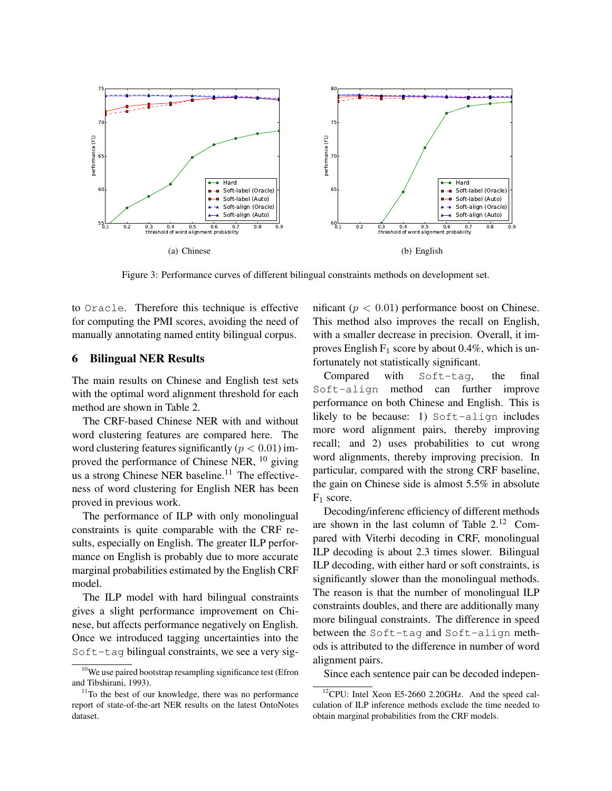

Figure 3: Performance curves of different bilingual constraints methods on development set.

to Oracle. Therefore this technique is effective for computing the PMI scores, avoiding the need of manually annotating named entity bilingual corpus.

### 6 Bilingual NER Results

The main results on Chinese and English test sets with the optimal word alignment threshold for each method are shown in Table 2.

The CRF-based Chinese NER with and without word clustering features are compared here. The word clustering features significantly ( $p < 0.01$ ) improved the performance of Chinese NER, <sup>10</sup> giving us a strong Chinese NER baseline. $11$  The effectiveness of word clustering for English NER has been proved in previous work.

The performance of ILP with only monolingual constraints is quite comparable with the CRF results, especially on English. The greater ILP performance on English is probably due to more accurate marginal probabilities estimated by the English CRF model.

The ILP model with hard bilingual constraints gives a slight performance improvement on Chinese, but affects performance negatively on English. Once we introduced tagging uncertainties into the Soft-tag bilingual constraints, we see a very significant ( $p < 0.01$ ) performance boost on Chinese. This method also improves the recall on English, with a smaller decrease in precision. Overall, it improves English  $F_1$  score by about 0.4%, which is unfortunately not statistically significant.

Compared with Soft-tag, the final Soft-align method can further improve performance on both Chinese and English. This is likely to be because: 1) Soft-align includes more word alignment pairs, thereby improving recall; and 2) uses probabilities to cut wrong word alignments, thereby improving precision. In particular, compared with the strong CRF baseline, the gain on Chinese side is almost 5.5% in absolute F<sup>1</sup> score.

Decoding/inferenc efficiency of different methods are shown in the last column of Table 2.<sup>12</sup> Compared with Viterbi decoding in CRF, monolingual ILP decoding is about 2.3 times slower. Bilingual ILP decoding, with either hard or soft constraints, is significantly slower than the monolingual methods. The reason is that the number of monolingual ILP constraints doubles, and there are additionally many more bilingual constraints. The difference in speed between the Soft-tag and Soft-align methods is attributed to the difference in number of word alignment pairs.

Since each sentence pair can be decoded indepen-

 $10$ We use paired bootstrap resampling significance test (Efron and Tibshirani, 1993).

 $11$ To the best of our knowledge, there was no performance report of state-of-the-art NER results on the latest OntoNotes dataset.

 $12$ CPU: Intel Xeon E5-2660 2.20GHz. And the speed calculation of ILP inference methods exclude the time needed to obtain marginal probabilities from the CRF models.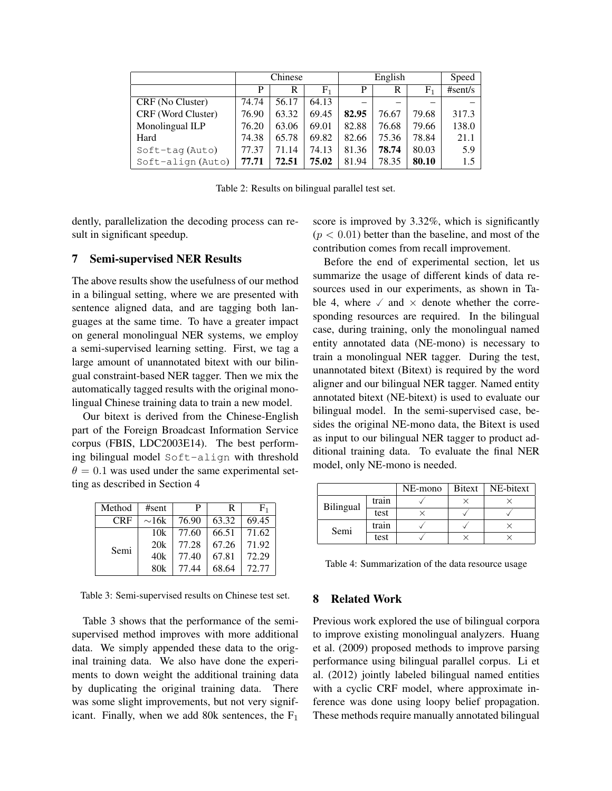|                    | Chinese |       |       | English |       |           | Speed   |
|--------------------|---------|-------|-------|---------|-------|-----------|---------|
|                    | P       | R     | $F_1$ | P       | R     | $\rm F_1$ | #sent/s |
| CRF (No Cluster)   | 74.74   | 56.17 | 64.13 |         |       | -         |         |
| CRF (Word Cluster) | 76.90   | 63.32 | 69.45 | 82.95   | 76.67 | 79.68     | 317.3   |
| Monolingual ILP    | 76.20   | 63.06 | 69.01 | 82.88   | 76.68 | 79.66     | 138.0   |
| Hard               | 74.38   | 65.78 | 69.82 | 82.66   | 75.36 | 78.84     | 21.1    |
| $Soft-tag(Auto)$   | 77.37   | 71.14 | 74.13 | 81.36   | 78.74 | 80.03     | 5.9     |
| $Soft-align(Auto)$ | 77.71   | 72.51 | 75.02 | 81.94   | 78.35 | 80.10     | 1.5     |

Table 2: Results on bilingual parallel test set.

dently, parallelization the decoding process can result in significant speedup.

# 7 Semi-supervised NER Results

The above results show the usefulness of our method in a bilingual setting, where we are presented with sentence aligned data, and are tagging both languages at the same time. To have a greater impact on general monolingual NER systems, we employ a semi-supervised learning setting. First, we tag a large amount of unannotated bitext with our bilingual constraint-based NER tagger. Then we mix the automatically tagged results with the original monolingual Chinese training data to train a new model.

Our bitext is derived from the Chinese-English part of the Foreign Broadcast Information Service corpus (FBIS, LDC2003E14). The best performing bilingual model Soft-align with threshold  $\theta = 0.1$  was used under the same experimental setting as described in Section 4

| Method     | #sent      | P     | R     | F1    |
|------------|------------|-------|-------|-------|
| <b>CRF</b> | $\sim$ 16k | 76.90 | 63.32 | 69.45 |
| Semi       | 10k        | 77.60 | 66.51 | 71.62 |
|            | 20k        | 77.28 | 67.26 | 71.92 |
|            | 40k        | 77.40 | 67.81 | 72.29 |
|            | 80k        | 77.44 | 68.64 | 72.77 |

Table 3: Semi-supervised results on Chinese test set.

Table 3 shows that the performance of the semisupervised method improves with more additional data. We simply appended these data to the original training data. We also have done the experiments to down weight the additional training data by duplicating the original training data. There was some slight improvements, but not very significant. Finally, when we add 80k sentences, the  $F_1$ 

score is improved by 3.32%, which is significantly  $(p < 0.01)$  better than the baseline, and most of the contribution comes from recall improvement.

Before the end of experimental section, let us summarize the usage of different kinds of data resources used in our experiments, as shown in Table 4, where  $\checkmark$  and  $\times$  denote whether the corresponding resources are required. In the bilingual case, during training, only the monolingual named entity annotated data (NE-mono) is necessary to train a monolingual NER tagger. During the test, unannotated bitext (Bitext) is required by the word aligner and our bilingual NER tagger. Named entity annotated bitext (NE-bitext) is used to evaluate our bilingual model. In the semi-supervised case, besides the original NE-mono data, the Bitext is used as input to our bilingual NER tagger to product additional training data. To evaluate the final NER model, only NE-mono is needed.

|           |       | NE-mono | <b>Bitext</b> | NE-bitext |  |
|-----------|-------|---------|---------------|-----------|--|
| Bilingual | train |         |               |           |  |
|           | test  |         |               |           |  |
| Semi      | train |         |               |           |  |
|           | test  |         |               |           |  |

Table 4: Summarization of the data resource usage

# 8 Related Work

Previous work explored the use of bilingual corpora to improve existing monolingual analyzers. Huang et al. (2009) proposed methods to improve parsing performance using bilingual parallel corpus. Li et al. (2012) jointly labeled bilingual named entities with a cyclic CRF model, where approximate inference was done using loopy belief propagation. These methods require manually annotated bilingual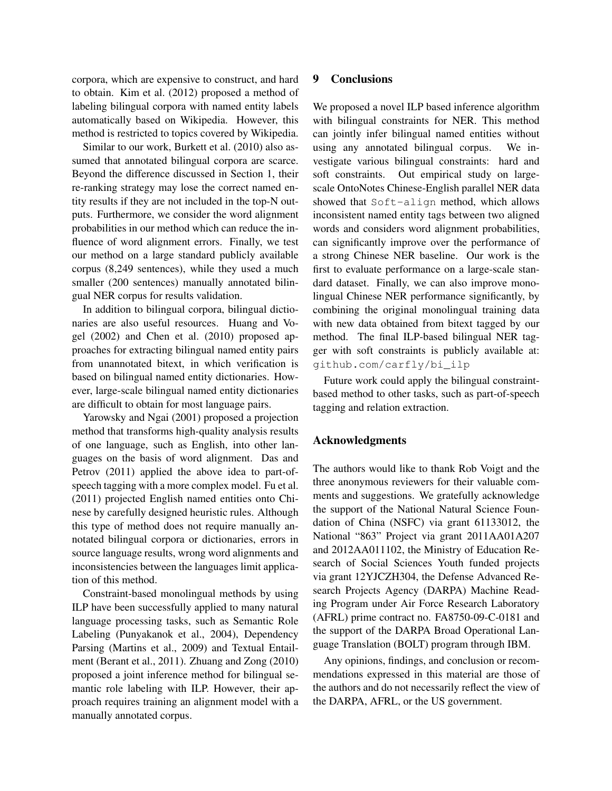corpora, which are expensive to construct, and hard to obtain. Kim et al. (2012) proposed a method of labeling bilingual corpora with named entity labels automatically based on Wikipedia. However, this method is restricted to topics covered by Wikipedia.

Similar to our work, Burkett et al. (2010) also assumed that annotated bilingual corpora are scarce. Beyond the difference discussed in Section 1, their re-ranking strategy may lose the correct named entity results if they are not included in the top-N outputs. Furthermore, we consider the word alignment probabilities in our method which can reduce the influence of word alignment errors. Finally, we test our method on a large standard publicly available corpus (8,249 sentences), while they used a much smaller (200 sentences) manually annotated bilingual NER corpus for results validation.

In addition to bilingual corpora, bilingual dictionaries are also useful resources. Huang and Vogel (2002) and Chen et al. (2010) proposed approaches for extracting bilingual named entity pairs from unannotated bitext, in which verification is based on bilingual named entity dictionaries. However, large-scale bilingual named entity dictionaries are difficult to obtain for most language pairs.

Yarowsky and Ngai (2001) proposed a projection method that transforms high-quality analysis results of one language, such as English, into other languages on the basis of word alignment. Das and Petrov (2011) applied the above idea to part-ofspeech tagging with a more complex model. Fu et al. (2011) projected English named entities onto Chinese by carefully designed heuristic rules. Although this type of method does not require manually annotated bilingual corpora or dictionaries, errors in source language results, wrong word alignments and inconsistencies between the languages limit application of this method.

Constraint-based monolingual methods by using ILP have been successfully applied to many natural language processing tasks, such as Semantic Role Labeling (Punyakanok et al., 2004), Dependency Parsing (Martins et al., 2009) and Textual Entailment (Berant et al., 2011). Zhuang and Zong (2010) proposed a joint inference method for bilingual semantic role labeling with ILP. However, their approach requires training an alignment model with a manually annotated corpus.

# 9 Conclusions

We proposed a novel ILP based inference algorithm with bilingual constraints for NER. This method can jointly infer bilingual named entities without using any annotated bilingual corpus. We investigate various bilingual constraints: hard and soft constraints. Out empirical study on largescale OntoNotes Chinese-English parallel NER data showed that Soft-align method, which allows inconsistent named entity tags between two aligned words and considers word alignment probabilities, can significantly improve over the performance of a strong Chinese NER baseline. Our work is the first to evaluate performance on a large-scale standard dataset. Finally, we can also improve monolingual Chinese NER performance significantly, by combining the original monolingual training data with new data obtained from bitext tagged by our method. The final ILP-based bilingual NER tagger with soft constraints is publicly available at: github.com/carfly/bi\_ilp

Future work could apply the bilingual constraintbased method to other tasks, such as part-of-speech tagging and relation extraction.

# Acknowledgments

The authors would like to thank Rob Voigt and the three anonymous reviewers for their valuable comments and suggestions. We gratefully acknowledge the support of the National Natural Science Foundation of China (NSFC) via grant 61133012, the National "863" Project via grant 2011AA01A207 and 2012AA011102, the Ministry of Education Research of Social Sciences Youth funded projects via grant 12YJCZH304, the Defense Advanced Research Projects Agency (DARPA) Machine Reading Program under Air Force Research Laboratory (AFRL) prime contract no. FA8750-09-C-0181 and the support of the DARPA Broad Operational Language Translation (BOLT) program through IBM.

Any opinions, findings, and conclusion or recommendations expressed in this material are those of the authors and do not necessarily reflect the view of the DARPA, AFRL, or the US government.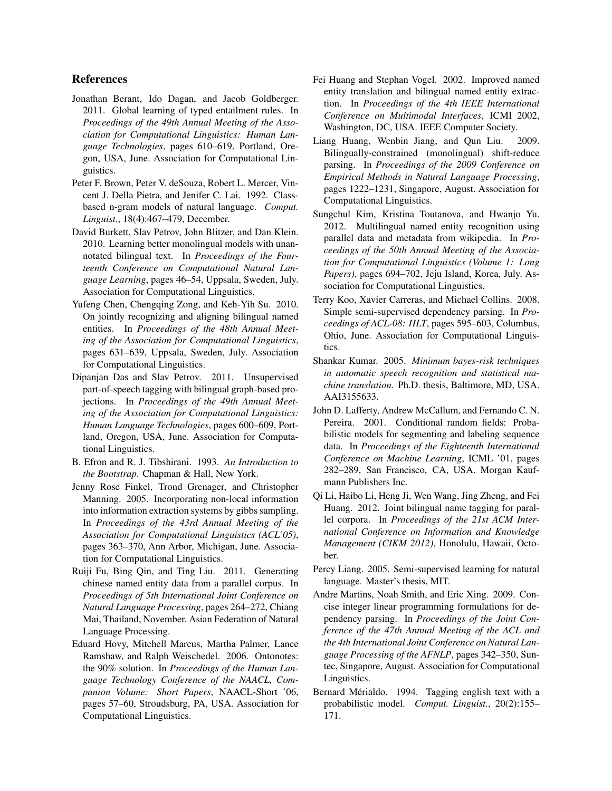# References

- Jonathan Berant, Ido Dagan, and Jacob Goldberger. 2011. Global learning of typed entailment rules. In *Proceedings of the 49th Annual Meeting of the Association for Computational Linguistics: Human Language Technologies*, pages 610–619, Portland, Oregon, USA, June. Association for Computational Linguistics.
- Peter F. Brown, Peter V. deSouza, Robert L. Mercer, Vincent J. Della Pietra, and Jenifer C. Lai. 1992. Classbased n-gram models of natural language. *Comput. Linguist.*, 18(4):467–479, December.
- David Burkett, Slav Petrov, John Blitzer, and Dan Klein. 2010. Learning better monolingual models with unannotated bilingual text. In *Proceedings of the Fourteenth Conference on Computational Natural Language Learning*, pages 46–54, Uppsala, Sweden, July. Association for Computational Linguistics.
- Yufeng Chen, Chengqing Zong, and Keh-Yih Su. 2010. On jointly recognizing and aligning bilingual named entities. In *Proceedings of the 48th Annual Meeting of the Association for Computational Linguistics*, pages 631–639, Uppsala, Sweden, July. Association for Computational Linguistics.
- Dipanjan Das and Slav Petrov. 2011. Unsupervised part-of-speech tagging with bilingual graph-based projections. In *Proceedings of the 49th Annual Meeting of the Association for Computational Linguistics: Human Language Technologies*, pages 600–609, Portland, Oregon, USA, June. Association for Computational Linguistics.
- B. Efron and R. J. Tibshirani. 1993. *An Introduction to the Bootstrap*. Chapman & Hall, New York.
- Jenny Rose Finkel, Trond Grenager, and Christopher Manning. 2005. Incorporating non-local information into information extraction systems by gibbs sampling. In *Proceedings of the 43rd Annual Meeting of the Association for Computational Linguistics (ACL'05)*, pages 363–370, Ann Arbor, Michigan, June. Association for Computational Linguistics.
- Ruiji Fu, Bing Qin, and Ting Liu. 2011. Generating chinese named entity data from a parallel corpus. In *Proceedings of 5th International Joint Conference on Natural Language Processing*, pages 264–272, Chiang Mai, Thailand, November. Asian Federation of Natural Language Processing.
- Eduard Hovy, Mitchell Marcus, Martha Palmer, Lance Ramshaw, and Ralph Weischedel. 2006. Ontonotes: the 90% solution. In *Proceedings of the Human Language Technology Conference of the NAACL, Companion Volume: Short Papers*, NAACL-Short '06, pages 57–60, Stroudsburg, PA, USA. Association for Computational Linguistics.
- Fei Huang and Stephan Vogel. 2002. Improved named entity translation and bilingual named entity extraction. In *Proceedings of the 4th IEEE International Conference on Multimodal Interfaces*, ICMI 2002, Washington, DC, USA. IEEE Computer Society.
- Liang Huang, Wenbin Jiang, and Qun Liu. 2009. Bilingually-constrained (monolingual) shift-reduce parsing. In *Proceedings of the 2009 Conference on Empirical Methods in Natural Language Processing*, pages 1222–1231, Singapore, August. Association for Computational Linguistics.
- Sungchul Kim, Kristina Toutanova, and Hwanjo Yu. 2012. Multilingual named entity recognition using parallel data and metadata from wikipedia. In *Proceedings of the 50th Annual Meeting of the Association for Computational Linguistics (Volume 1: Long Papers)*, pages 694–702, Jeju Island, Korea, July. Association for Computational Linguistics.
- Terry Koo, Xavier Carreras, and Michael Collins. 2008. Simple semi-supervised dependency parsing. In *Proceedings of ACL-08: HLT*, pages 595–603, Columbus, Ohio, June. Association for Computational Linguistics.
- Shankar Kumar. 2005. *Minimum bayes-risk techniques in automatic speech recognition and statistical machine translation*. Ph.D. thesis, Baltimore, MD, USA. AAI3155633.
- John D. Lafferty, Andrew McCallum, and Fernando C. N. Pereira. 2001. Conditional random fields: Probabilistic models for segmenting and labeling sequence data. In *Proceedings of the Eighteenth International Conference on Machine Learning*, ICML '01, pages 282–289, San Francisco, CA, USA. Morgan Kaufmann Publishers Inc.
- Qi Li, Haibo Li, Heng Ji, Wen Wang, Jing Zheng, and Fei Huang. 2012. Joint bilingual name tagging for parallel corpora. In *Proceedings of the 21st ACM International Conference on Information and Knowledge Management (CIKM 2012)*, Honolulu, Hawaii, October.
- Percy Liang. 2005. Semi-supervised learning for natural language. Master's thesis, MIT.
- Andre Martins, Noah Smith, and Eric Xing. 2009. Concise integer linear programming formulations for dependency parsing. In *Proceedings of the Joint Conference of the 47th Annual Meeting of the ACL and the 4th International Joint Conference on Natural Language Processing of the AFNLP*, pages 342–350, Suntec, Singapore, August. Association for Computational Linguistics.
- Bernard Mérialdo. 1994. Tagging english text with a probabilistic model. *Comput. Linguist.*, 20(2):155– 171.